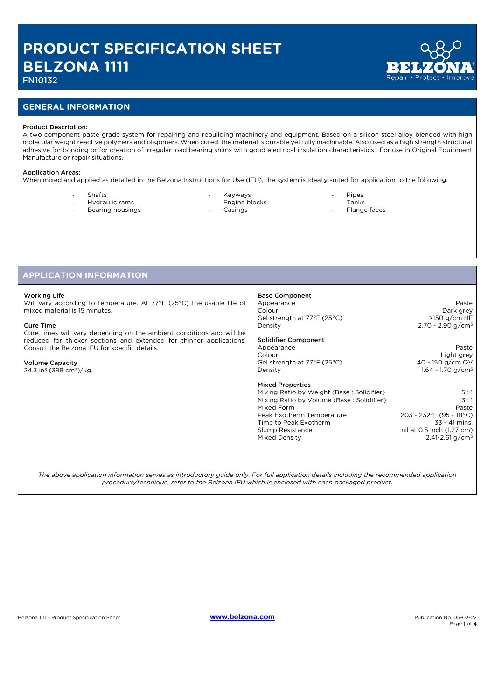## FN10132

#### **GENERAL INFORMATION**

#### Product Description:

A two component paste grade system for repairing and rebuilding machinery and equipment. Based on a silicon steel alloy blended with high molecular weight reactive polymers and oligomers. When cured, the material is durable yet fully machinable. Also used as a high strength structural adhesive for bonding or for creation of irregular load bearing shims with good electrical insulation characteristics. For use in Original Equipment Manufacture or repair situations.

#### Application Areas:

When mixed and applied as detailed in the Belzona Instructions for Use (IFU), the system is ideally suited for application to the following:

Shafts

Hydraulic rams Bearing housings

- **Keyways**
- Engine blocks
- **Casings**
- Pipes
- Tanks Flange faces

#### **APPLICATION INFORMATION**

#### Working Life

Will vary according to temperature. At 77°F (25°C) the usable life of mixed material is 15 minutes.

#### Cure Time

Cure times will vary depending on the ambient conditions and will be reduced for thicker sections and extended for thinner applications. Consult the Belzona IFU for specific details.

#### Volume Capacity

24.3 in3 (398 cm3)/kg.

## Base Component

Appearance **Paste** Colour Dark grey Gel strength at 77°F (25°C) >150 g/cm HF Density 2.70 - 2.90 g/cm<sup>3</sup>

#### Solidifier Component

Appearance Paste<br>Colour Paste<br>Colour Paste Paste Paste Paste Paste Paste Paste Paste Paste Paste Paste Paste Paste Paste Paste Paste Paste Gel strength at 77°F (25°C) Density 1.64 - 1.70 g/cm<sup>3</sup>

#### Mixed Properties

Mixing Ratio by Weight (Base : Solidifier) 5 : 1<br>Mixing Ratio by Volume (Base : Solidifier) 5 : 1 Mixing Ratio by Volume (Base : Solidifier) 3:1<br>Mixed Form Paste Mixed Form Paste<br>Peak Exotherm Temperature 203 - 232°F (95 - 111°C) Peak Exotherm Temperature 203 - 232°F (95 - 111°C)<br>Time to Peak Exotherm 33 - 41 mins. Time to Peak Exotherm<br>Slump Resistance Mixed Density 2.41-2.61 g/cm<sup>3</sup>

Light grey<br>40 - 150 q/cm QV

# $nil$  at 0.5 inch (1.27 cm)

*The above application information serves as introductory guide only. For full application details including the recommended application procedure/technique, refer to the Belzona IFU which is enclosed with each packaged product.*

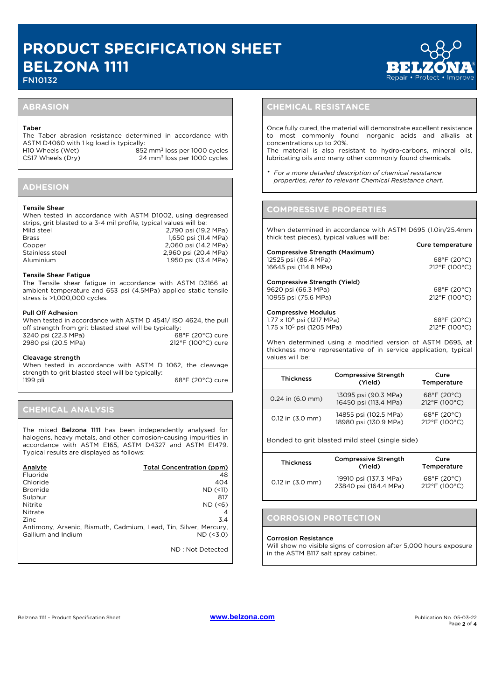FN10132

Cure temperature

#### **ABRASION**

#### Taber

The Taber abrasion resistance determined in accordance with ASTM D4060 with 1 kg load is typically: H10 Wheels (Wet) 852 mm<sup>3</sup> loss per 1000 cycles

CS17 Wheels (Dry) 24 mm3 loss per 1000 cycles

## **ADHESION**

#### Tensile Shear

| When tested in accordance with ASTM D1002, using degreased         |                      |
|--------------------------------------------------------------------|----------------------|
| strips, grit blasted to a 3-4 mil profile, typical values will be: |                      |
| Mild steel                                                         | 2.790 psi (19.2 MPa) |
| <b>Brass</b>                                                       | 1.650 psi (11.4 MPa) |
| Copper                                                             | 2.060 psi (14.2 MPa) |
| Stainless steel                                                    | 2,960 psi (20.4 MPa) |
| Aluminium                                                          | 1,950 psi (13.4 MPa) |

#### Tensile Shear Fatigue

The Tensile shear fatigue in accordance with ASTM D3166 at ambient temperature and 653 psi (4.5MPa) applied static tensile stress is >1,000,000 cycles.

#### Pull Off Adhesion

| When tested in accordance with ASTM D 4541/ ISO 4624, the pull |                    |  |
|----------------------------------------------------------------|--------------------|--|
| off strength from grit blasted steel will be typically:        |                    |  |
| 3240 psi (22.3 MPa)                                            | 68°F (20°C) cure   |  |
| 2980 psi (20.5 MPa)                                            | 212°F (100°C) cure |  |

#### Cleavage strength

When tested in accordance with ASTM D 1062, the cleavage strength to grit blasted steel will be typically: 1199 pli 68°F (20°C) cure

#### **CHEMICAL ANALYSIS**

The mixed Belzona 1111 has been independently analysed for halogens, heavy metals, and other corrosion-causing impurities in accordance with ASTM E165, ASTM D4327 and ASTM E1479. Typical results are displayed as follows:

| Total Concentration (ppm)                                        |
|------------------------------------------------------------------|
| 48                                                               |
| 404                                                              |
| $ND$ $(\leq 11)$                                                 |
| 817                                                              |
| $ND$ (<6)                                                        |
|                                                                  |
| 3.4                                                              |
| Antimony, Arsenic, Bismuth, Cadmium, Lead, Tin, Silver, Mercury, |
| $ND$ (<3.0)                                                      |
|                                                                  |
|                                                                  |

ND : Not Detected

## **CHEMICAL RESISTANCE**

Once fully cured, the material will demonstrate excellent resistance to most commonly found inorganic acids and alkalis at concentrations up to 20%.

The material is also resistant to hydro-carbons, mineral oils, lubricating oils and many other commonly found chemicals.

*\* For a more detailed description of chemical resistance properties, refer to relevant Chemical Resistance chart.*

#### **COMPRESSIVE PROPERTIES**

When determined in accordance with ASTM D695 (1.0in/25.4mm thick test pieces), typical values will be:

| <b>Compressive Strength (Maximum)</b><br>12525 psi (86.4 MPa)<br>16645 psi (114.8 MPa)                   | $68^{\circ}$ F (20 $^{\circ}$ C)<br>212°F (100°C) |
|----------------------------------------------------------------------------------------------------------|---------------------------------------------------|
| Compressive Strength (Yield)<br>9620 psi (66.3 MPa)<br>10955 psi (75.6 MPa)                              | $68^{\circ}F(20^{\circ}C)$<br>212°F (100°C)       |
| <b>Compressive Modulus</b><br>$1.77 \times 10^5$ psi (1217 MPa)<br>1.75 x 10 <sup>5</sup> psi (1205 MPa) | $68^{\circ}$ F (20 $^{\circ}$ C)<br>212°F (100°C) |

When determined using a modified version of ASTM D695, at thickness more representative of in service application, typical values will be:

| <b>Thickness</b>     | <b>Compressive Strength</b><br>(Yield)         | Cure<br>Temperature                         |
|----------------------|------------------------------------------------|---------------------------------------------|
| $0.24$ in $(6.0$ mm) | 13095 psi (90.3 MPa)<br>16450 psi (113.4 MPa)  | $68^{\circ}F(20^{\circ}C)$<br>212°F (100°C) |
| 0.12 in (3.0 mm)     | 14855 psi (102.5 MPa)<br>18980 psi (130.9 MPa) | 68°F (20°C)<br>212°F (100°C)                |

Bonded to grit blasted mild steel (single side)

| <b>Thickness</b>     | <b>Compressive Strength</b><br>(Yield)         | Cure<br>Temperature                               |
|----------------------|------------------------------------------------|---------------------------------------------------|
| $0.12$ in $(3.0$ mm) | 19910 psi (137.3 MPa)<br>23840 psi (164.4 MPa) | $68^{\circ}$ F (20 $^{\circ}$ C)<br>212°F (100°C) |

#### **CORROSION PROTECTION**

#### Corrosion Resistance

Will show no visible signs of corrosion after 5,000 hours exposure in the ASTM B117 salt spray cabinet.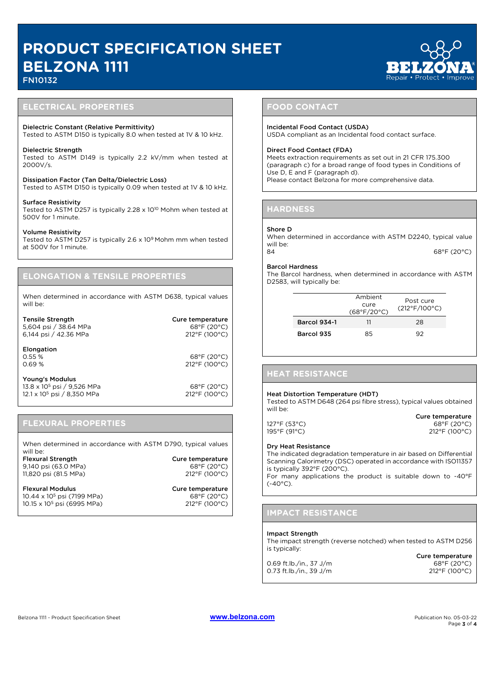## FN10132

#### **ELECTRICAL PROPERTIES**

#### Dielectric Constant (Relative Permittivity)

Tested to ASTM D150 is typically 8.0 when tested at 1V & 10 kHz.

#### Dielectric Strength

Tested to ASTM D149 is typically 2.2 kV/mm when tested at 2000V/s.

Dissipation Factor (Tan Delta/Dielectric Loss) Tested to ASTM D150 is typically 0.09 when tested at 1V & 10 kHz.

#### Surface Resistivity

Tested to ASTM D257 is typically 2.28 x 1010 Mohm when tested at 500V for 1 minute.

#### Volume Resistivity

Tested to ASTM D257 is typically 2.6 x 109 Mohm mm when tested at 500V for 1 minute.

#### **ELONGATION & TENSILE PROPERTIES**

When determined in accordance with ASTM D638, typical values will be:

| <b>Tensile Strength</b><br>5,604 psi / 38.64 MPa<br>6,144 psi / 42.36 MPa                           | Cure temperature<br>68°F (20°C)<br>212°F (100°C) |
|-----------------------------------------------------------------------------------------------------|--------------------------------------------------|
| Elongation<br>0.55%<br>0.69%                                                                        | 68°F (20°C)<br>212°F (100°C)                     |
| Young's Modulus<br>13.8 x 10 <sup>5</sup> psi / 9,526 MPa<br>12.1 x 10 <sup>5</sup> psi / 8.350 MPa | 68°F (20°C)<br>212°F (100°C)                     |

## **FLEXURAL PROPERTIES**

When determined in accordance with ASTM D790, typical values will be:

Flexural Strength Cure temperature 9,140 psi (63.0 MPa) 68°F (20°C)<br>11,820 psi (81.5 MPa) 68°F (20°C) 11,820 psi (81.5 MPa)

Flexural Modulus **Cure temperature** 10.44 x 10<sup>5</sup> psi (7199 MPa) 68°F (20°C)<br>10.15 x 10<sup>5</sup> psi (6995 MPa) 212°F (100°C) 10.15 x 10<sup>5</sup> psi (6995 MPa)

**FOOD CONTACT**

#### Incidental Food Contact (USDA)

USDA compliant as an Incidental food contact surface.

#### Direct Food Contact (FDA)

Meets extraction requirements as set out in 21 CFR 175.300 (paragraph c) for a broad range of food types in Conditions of Use D, E and F (paragraph d). Please contact Belzona for more comprehensive data.

#### **HARDNESS**

#### Shore D

When determined in accordance with ASTM D2240, typical value will be: 84 68°F (20°C)

#### Barcol Hardness

The Barcol hardness, when determined in accordance with ASTM D2583, will typically be:

|                     | Ambient<br>cure<br>(68°F/20°C) | Post cure<br>$(212^{\circ}F/100^{\circ}C)$ |
|---------------------|--------------------------------|--------------------------------------------|
| <b>Barcol 934-1</b> | וו                             | 28                                         |
| Barcol 935          | 85                             | 92                                         |

#### **HEAT RESISTANCE**

#### Heat Distortion Temperature (HDT)

Tested to ASTM D648 (264 psi fibre stress), typical values obtained will be:

Cure temperature 127°F (53°C)<br>195°F (91°C) 68°F (20°C)<br>212°F (100°C) 195°F (91°C) 212°F (100°C)

#### Dry Heat Resistance

The indicated degradation temperature in air based on Differential Scanning Calorimetry (DSC) operated in accordance with ISO11357 is typically 392°F (200°C).

For many applications the product is suitable down to -40°F  $(-40^{\circ}C)$ .

#### **IMPACT RESISTANCE**

#### Impact Strength

The impact strength (reverse notched) when tested to ASTM D256 is typically: Cure temperature

|                         | Cure temperature                   |
|-------------------------|------------------------------------|
| 0.69 ft.lb./in., 37 J/m | $68^{\circ}$ F (20 $^{\circ}$ C)   |
| 0.73 ft.lb./in., 39 J/m | $212^{\circ}$ F (100 $^{\circ}$ C) |